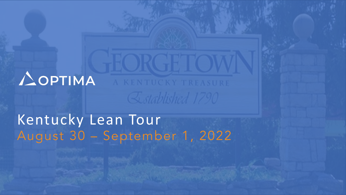**AOPTIMA** A KENTUCKY TREASURE **Established 1790** 

# Kentucky Lean Tour August 30 – September 1, 2022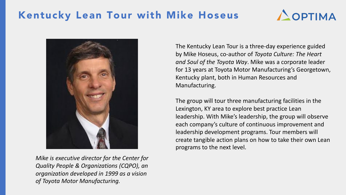



*Mike is executive director for the Center for Quality People & Organizations (CQPO), an organization developed in 1999 as a vision of Toyota Motor Manufacturing.*

The Kentucky Lean Tour is a three-day experience guided by Mike Hoseus, co-author of *Toyota Culture: The Heart and Soul of the Toyota Way*. Mike was a corporate leader for 13 years at Toyota Motor Manufacturing's Georgetown, Kentucky plant, both in Human Resources and Manufacturing.

The group will tour three manufacturing facilities in the Lexington, KY area to explore best practice Lean leadership. With Mike's leadership, the group will observe each company's culture of continuous improvement and leadership development programs. Tour members will create tangible action plans on how to take their own Lean programs to the next level.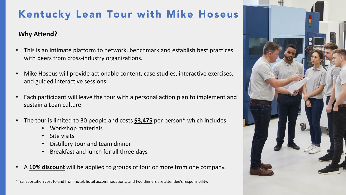#### **Why Attend?**

- This is an intimate platform to network, benchmark and establish best practices with peers from cross-industry organizations.
- Mike Hoseus will provide actionable content, case studies, interactive exercises, and guided interactive sessions.
- Each participant will leave the tour with a personal action plan to implement and sustain a Lean culture.
- The tour is limited to 30 people and costs **\$3,475** per person\* which includes:
	- Workshop materials
	- Site visits
	- Distillery tour and team dinner
	- Breakfast and lunch for all three days
- A **10% discount** will be applied to groups of four or more from one company.

\*Transportation cost to and from hotel, hotel accommodations, and two dinners are attendee's responsibility.

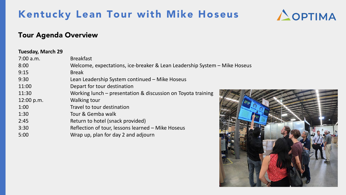

### Tour Agenda Overview

#### **Tuesday, March 29**

| 7:00 a.m.  | <b>Breakfast</b>                                                          |
|------------|---------------------------------------------------------------------------|
| 8:00       | Welcome, expectations, ice-breaker & Lean Leadership System - Mike Hoseus |
| 9:15       | <b>Break</b>                                                              |
| 9:30       | Lean Leadership System continued - Mike Hoseus                            |
| 11:00      | Depart for tour destination                                               |
| 11:30      | Working lunch – presentation & discussion on Toyota training              |
| 12:00 p.m. | <b>Walking tour</b>                                                       |
| 1:00       | Travel to tour destination                                                |
| 1:30       | Tour & Gemba walk                                                         |
| 2:45       | Return to hotel (snack provided)                                          |
| 3:30       | Reflection of tour, lessons learned - Mike Hoseus                         |
| 5:00       | Wrap up, plan for day 2 and adjourn                                       |

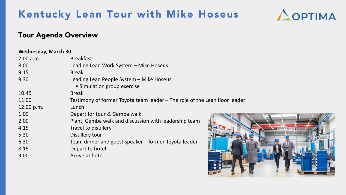

### Tour Agenda Overview

#### **Wednesday, March 30**

| 7:00 a.m.  | <b>Breakfast</b>                                                           |
|------------|----------------------------------------------------------------------------|
| 8:00       | Leading Lean Work System - Mike Hoseus                                     |
| 9:15       | <b>Break</b>                                                               |
| 9:30       | Leading Lean People System - Mike Hoseus                                   |
|            | • Simulation group exercise                                                |
| 10:45      | <b>Break</b>                                                               |
| 11:00      | Testimony of former Toyota team leader – The role of the Lean floor leader |
| 12:00 p.m. | Lunch                                                                      |
| 1:00       | Depart for tour & Gemba walk                                               |
| 2:00       | Plant, Gemba walk and discussion with leadership team                      |
| 4:15       | <b>Travel to distillery</b>                                                |
| 5:30       | Distillery tour                                                            |
| 6:30       | Team dinner and guest speaker – former Toyota leader                       |
| 8:15       | Depart to hotel                                                            |
| 9:00       | Arrive at hotel                                                            |
|            |                                                                            |